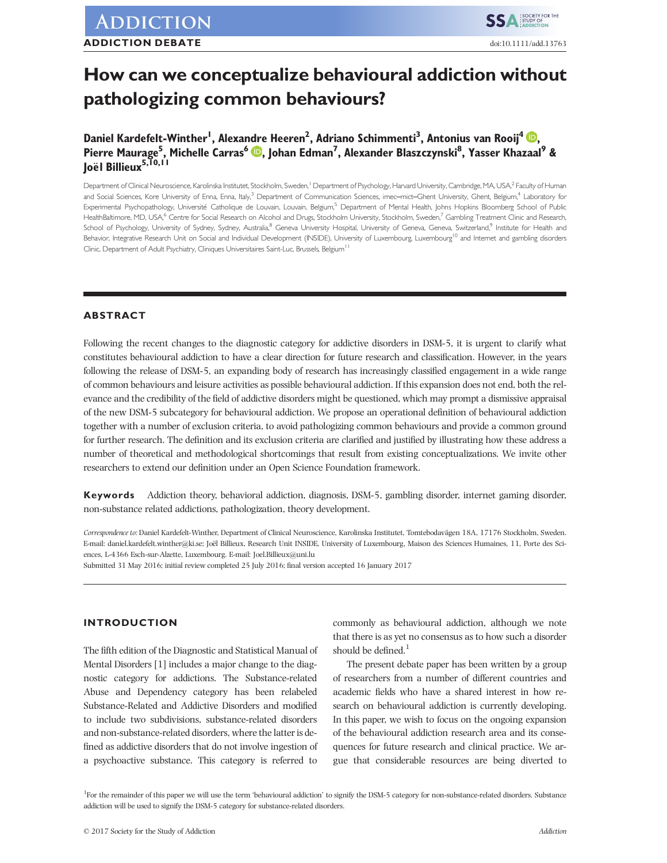# How can we conceptualize behavioural addiction without pathologizing common behaviours?

# Daniel Kardefelt-Winther<sup>l</sup>, Alexandre Heeren<sup>2</sup>, Adriano Schimmenti<sup>3</sup>, Antonius van Rooij<sup>4 (D</sup>), Pierre Maurage<sup>5</sup>, Michelle Carras<sup>6</sup> (D, Johan Edman<sup>7</sup>, Alexander Blaszczynski<sup>8</sup>, Yasser Khazaal<sup>9</sup> & loël Billieux<sup>5,10,11</sup>

Department of Clinical Neuroscience, Karolinska Institutet, Stockholm, Sweden,<sup>1</sup> Department of Psychology, Harvard University, Cambridge, MA, USA,<sup>2</sup> Faculty of Human and Social Sciences, Kore University of Enna, Enna, Italy,<sup>3</sup> Department of Communication Sciences, imec–mict–Ghent University, Ghent, Belgium,<sup>4</sup> Laboratory for Experimental Psychopathology, Université Catholique de Louvain, Louvain, Belgium,<sup>5</sup> Department of Mental Health, Johns Hopkins Bloomberg School of Public HealthBaltimore, MD, USA, <sup>6</sup> Centre for Social Research on Alcohol and Drugs, Stockholm University, Stockholm, Sweden,<sup>7</sup> Gambling Treatment Clinic and Research, School of Psychology, University of Sydney, Sydney, Australia,<sup>8</sup> Geneva University Hospital, University of Geneva, Geneva, Switzerland,<sup>9</sup> Institute for Health and Behavior, Integrative Research Unit on Social and Individual Development (INSIDE), University of Luxembourg, Luxembourg<sup>10</sup> and Internet and gambling disorders Clinic, Department of Adult Psychiatry, Cliniques Universitaires Saint-Luc, Brussels, Belgium<sup>11</sup>

### ABSTRACT

Following the recent changes to the diagnostic category for addictive disorders in DSM-5, it is urgent to clarify what constitutes behavioural addiction to have a clear direction for future research and classification. However, in the years following the release of DSM-5, an expanding body of research has increasingly classified engagement in a wide range of common behaviours and leisure activities as possible behavioural addiction. If this expansion does not end, both the relevance and the credibility of the field of addictive disorders might be questioned, which may prompt a dismissive appraisal of the new DSM-5 subcategory for behavioural addiction. We propose an operational definition of behavioural addiction together with a number of exclusion criteria, to avoid pathologizing common behaviours and provide a common ground for further research. The definition and its exclusion criteria are clarified and justified by illustrating how these address a number of theoretical and methodological shortcomings that result from existing conceptualizations. We invite other researchers to extend our definition under an Open Science Foundation framework.

Keywords Addiction theory, behavioral addiction, diagnosis, DSM-5, gambling disorder, internet gaming disorder, non-substance related addictions, pathologization, theory development.

Correspondence to: Daniel Kardefelt-Winther, Department of Clinical Neuroscience, Karolinska Institutet, Tomtebodavägen 18A, 17176 Stockholm, Sweden. E-mail: daniel.kardefelt.winther@ki.se; Joël Billieux, Research Unit INSIDE, University of Luxembourg, Maison des Sciences Humaines, 11, Porte des Sciences, L-4366 Esch-sur-Alzette, Luxembourg. E-mail: Joel.Billieux@uni.lu

Submitted 31 May 2016; initial review completed 25 July 2016; final version accepted 16 January 2017

## INTRODUCTION

The fifth edition of the Diagnostic and Statistical Manual of Mental Disorders [1] includes a major change to the diagnostic category for addictions. The Substance-related Abuse and Dependency category has been relabeled Substance-Related and Addictive Disorders and modified to include two subdivisions, substance-related disorders and non-substance-related disorders, where the latter is defined as addictive disorders that do not involve ingestion of a psychoactive substance. This category is referred to

commonly as behavioural addiction, although we note that there is as yet no consensus as to how such a disorder should be defined. $<sup>1</sup>$ </sup>

The present debate paper has been written by a group of researchers from a number of different countries and academic fields who have a shared interest in how research on behavioural addiction is currently developing. In this paper, we wish to focus on the ongoing expansion of the behavioural addiction research area and its consequences for future research and clinical practice. We argue that considerable resources are being diverted to

<sup>1</sup>For the remainder of this paper we will use the term 'behavioural addiction' to signify the DSM-5 category for non-substance-related disorders. Substance addiction will be used to signify the DSM-5 category for substance-related disorders.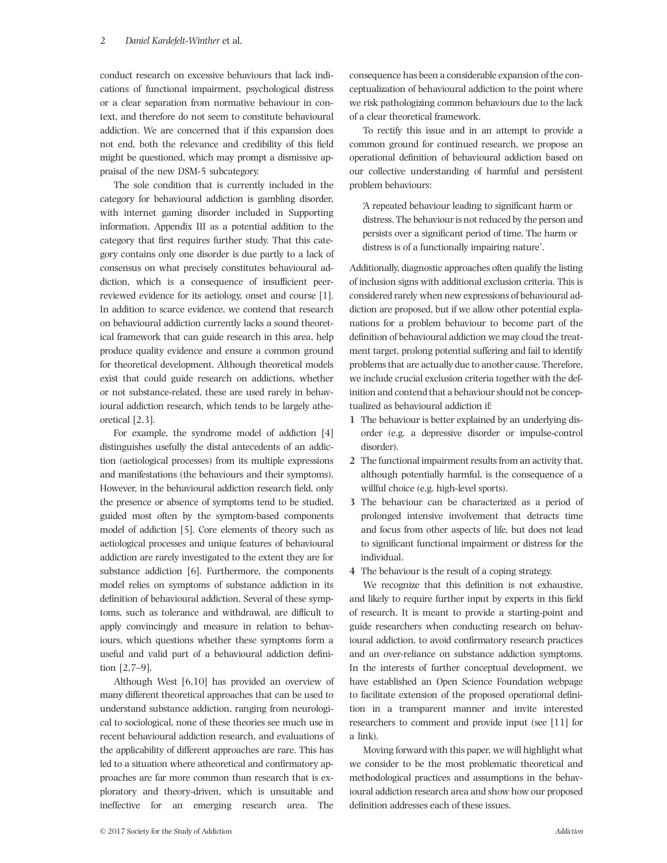conduct research on excessive behaviours that lack indications of functional impairment, psychological distress or a clear separation from normative behaviour in context, and therefore do not seem to constitute behavioural addiction. We are concerned that if this expansion does not end, both the relevance and credibility of this field might be questioned, which may prompt a dismissive appraisal of the new DSM-5 subcategory.

The sole condition that is currently included in the category for behavioural addiction is gambling disorder, with internet gaming disorder included in Supporting information, Appendix III as a potential addition to the category that first requires further study. That this category contains only one disorder is due partly to a lack of consensus on what precisely constitutes behavioural addiction, which is a consequence of insufficient peerreviewed evidence for its aetiology, onset and course [1]. In addition to scarce evidence, we contend that research on behavioural addiction currently lacks a sound theoretical framework that can guide research in this area, help produce quality evidence and ensure a common ground for theoretical development. Although theoretical models exist that could guide research on addictions, whether or not substance-related, these are used rarely in behavioural addiction research, which tends to be largely atheoretical [2,3].

For example, the syndrome model of addiction [4] distinguishes usefully the distal antecedents of an addiction (aetiological processes) from its multiple expressions and manifestations (the behaviours and their symptoms). However, in the behavioural addiction research field, only the presence or absence of symptoms tend to be studied, guided most often by the symptom-based components model of addiction [5]. Core elements of theory such as aetiological processes and unique features of behavioural addiction are rarely investigated to the extent they are for substance addiction [6]. Furthermore, the components model relies on symptoms of substance addiction in its definition of behavioural addiction. Several of these symptoms, such as tolerance and withdrawal, are difficult to apply convincingly and measure in relation to behaviours, which questions whether these symptoms form a useful and valid part of a behavioural addiction definition [2,7–9].

Although West [6,10] has provided an overview of many different theoretical approaches that can be used to understand substance addiction, ranging from neurological to sociological, none of these theories see much use in recent behavioural addiction research, and evaluations of the applicability of different approaches are rare. This has led to a situation where atheoretical and confirmatory approaches are far more common than research that is exploratory and theory-driven, which is unsuitable and ineffective for an emerging research area. The

consequence has been a considerable expansion of the conceptualization of behavioural addiction to the point where we risk pathologizing common behaviours due to the lack of a clear theoretical framework.

To rectify this issue and in an attempt to provide a common ground for continued research, we propose an operational definition of behavioural addiction based on our collective understanding of harmful and persistent problem behaviours:

'A repeated behaviour leading to significant harm or distress. The behaviour is not reduced by the person and persists over a significant period of time. The harm or distress is of a functionally impairing nature'.

Additionally, diagnostic approaches often qualify the listing of inclusion signs with additional exclusion criteria. This is considered rarely when new expressions of behavioural addiction are proposed, but if we allow other potential explanations for a problem behaviour to become part of the definition of behavioural addiction we may cloud the treatment target, prolong potential suffering and fail to identify problems that are actually due to another cause. Therefore, we include crucial exclusion criteria together with the definition and contend that a behaviour should not be conceptualized as behavioural addiction if:

- 1 The behaviour is better explained by an underlying disorder (e.g. a depressive disorder or impulse-control disorder).
- 2 The functional impairment results from an activity that, although potentially harmful, is the consequence of a willful choice (e.g. high-level sports).
- 3 The behaviour can be characterized as a period of prolonged intensive involvement that detracts time and focus from other aspects of life, but does not lead to significant functional impairment or distress for the individual.
- 4 The behaviour is the result of a coping strategy.

We recognize that this definition is not exhaustive, and likely to require further input by experts in this field of research. It is meant to provide a starting-point and guide researchers when conducting research on behavioural addiction, to avoid confirmatory research practices and an over-reliance on substance addiction symptoms. In the interests of further conceptual development, we have established an Open Science Foundation webpage to facilitate extension of the proposed operational definition in a transparent manner and invite interested researchers to comment and provide input (see [11] for a link).

Moving forward with this paper, we will highlight what we consider to be the most problematic theoretical and methodological practices and assumptions in the behavioural addiction research area and show how our proposed definition addresses each of these issues.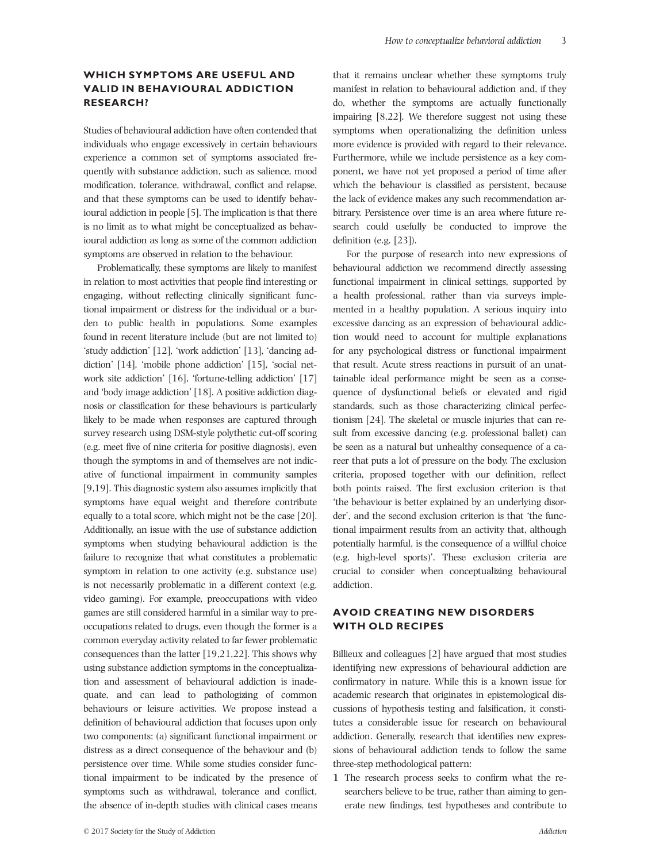## WHICH SYMPTOMS ARE USEFUL AND VALID IN BEHAVIOURAL ADDICTION RESEARCH?

Studies of behavioural addiction have often contended that individuals who engage excessively in certain behaviours experience a common set of symptoms associated frequently with substance addiction, such as salience, mood modification, tolerance, withdrawal, conflict and relapse, and that these symptoms can be used to identify behavioural addiction in people [5]. The implication is that there is no limit as to what might be conceptualized as behavioural addiction as long as some of the common addiction symptoms are observed in relation to the behaviour.

Problematically, these symptoms are likely to manifest in relation to most activities that people find interesting or engaging, without reflecting clinically significant functional impairment or distress for the individual or a burden to public health in populations. Some examples found in recent literature include (but are not limited to) 'study addiction' [12], 'work addiction' [13], 'dancing addiction' [14], 'mobile phone addiction' [15], 'social network site addiction' [16], 'fortune-telling addiction' [17] and 'body image addiction' [18]. A positive addiction diagnosis or classification for these behaviours is particularly likely to be made when responses are captured through survey research using DSM-style polythetic cut-off scoring (e.g. meet five of nine criteria for positive diagnosis), even though the symptoms in and of themselves are not indicative of functional impairment in community samples [9,19]. This diagnostic system also assumes implicitly that symptoms have equal weight and therefore contribute equally to a total score, which might not be the case [20]. Additionally, an issue with the use of substance addiction symptoms when studying behavioural addiction is the failure to recognize that what constitutes a problematic symptom in relation to one activity (e.g. substance use) is not necessarily problematic in a different context (e.g. video gaming). For example, preoccupations with video games are still considered harmful in a similar way to preoccupations related to drugs, even though the former is a common everyday activity related to far fewer problematic consequences than the latter [19,21,22]. This shows why using substance addiction symptoms in the conceptualization and assessment of behavioural addiction is inadequate, and can lead to pathologizing of common behaviours or leisure activities. We propose instead a definition of behavioural addiction that focuses upon only two components: (a) significant functional impairment or distress as a direct consequence of the behaviour and (b) persistence over time. While some studies consider functional impairment to be indicated by the presence of symptoms such as withdrawal, tolerance and conflict, the absence of in-depth studies with clinical cases means

that it remains unclear whether these symptoms truly manifest in relation to behavioural addiction and, if they do, whether the symptoms are actually functionally impairing [8,22]. We therefore suggest not using these symptoms when operationalizing the definition unless more evidence is provided with regard to their relevance. Furthermore, while we include persistence as a key component, we have not yet proposed a period of time after which the behaviour is classified as persistent, because the lack of evidence makes any such recommendation arbitrary. Persistence over time is an area where future research could usefully be conducted to improve the definition (e.g. [23]).

For the purpose of research into new expressions of behavioural addiction we recommend directly assessing functional impairment in clinical settings, supported by a health professional, rather than via surveys implemented in a healthy population. A serious inquiry into excessive dancing as an expression of behavioural addiction would need to account for multiple explanations for any psychological distress or functional impairment that result. Acute stress reactions in pursuit of an unattainable ideal performance might be seen as a consequence of dysfunctional beliefs or elevated and rigid standards, such as those characterizing clinical perfectionism [24]. The skeletal or muscle injuries that can result from excessive dancing (e.g. professional ballet) can be seen as a natural but unhealthy consequence of a career that puts a lot of pressure on the body. The exclusion criteria, proposed together with our definition, reflect both points raised. The first exclusion criterion is that 'the behaviour is better explained by an underlying disorder', and the second exclusion criterion is that 'the functional impairment results from an activity that, although potentially harmful, is the consequence of a willful choice (e.g. high-level sports)'. These exclusion criteria are crucial to consider when conceptualizing behavioural addiction.

## AVOID CREATING NEW DISORDERS WITH OLD RECIPES

Billieux and colleagues [2] have argued that most studies identifying new expressions of behavioural addiction are confirmatory in nature. While this is a known issue for academic research that originates in epistemological discussions of hypothesis testing and falsification, it constitutes a considerable issue for research on behavioural addiction. Generally, research that identifies new expressions of behavioural addiction tends to follow the same three-step methodological pattern:

1 The research process seeks to confirm what the researchers believe to be true, rather than aiming to generate new findings, test hypotheses and contribute to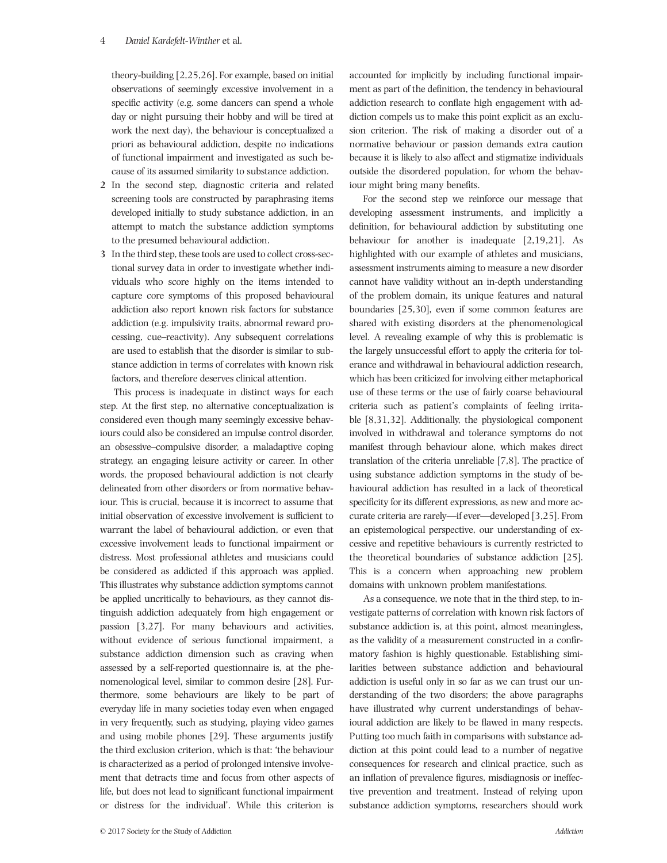#### 4 Daniel Kardefelt-Winther et al.

theory-building [2,25,26]. For example, based on initial observations of seemingly excessive involvement in a specific activity (e.g. some dancers can spend a whole day or night pursuing their hobby and will be tired at work the next day), the behaviour is conceptualized a priori as behavioural addiction, despite no indications of functional impairment and investigated as such because of its assumed similarity to substance addiction.

- 2 In the second step, diagnostic criteria and related screening tools are constructed by paraphrasing items developed initially to study substance addiction, in an attempt to match the substance addiction symptoms to the presumed behavioural addiction.
- 3 In the third step, these tools are used to collect cross-sectional survey data in order to investigate whether individuals who score highly on the items intended to capture core symptoms of this proposed behavioural addiction also report known risk factors for substance addiction (e.g. impulsivity traits, abnormal reward processing, cue–reactivity). Any subsequent correlations are used to establish that the disorder is similar to substance addiction in terms of correlates with known risk factors, and therefore deserves clinical attention.

This process is inadequate in distinct ways for each step. At the first step, no alternative conceptualization is considered even though many seemingly excessive behaviours could also be considered an impulse control disorder, an obsessive–compulsive disorder, a maladaptive coping strategy, an engaging leisure activity or career. In other words, the proposed behavioural addiction is not clearly delineated from other disorders or from normative behaviour. This is crucial, because it is incorrect to assume that initial observation of excessive involvement is sufficient to warrant the label of behavioural addiction, or even that excessive involvement leads to functional impairment or distress. Most professional athletes and musicians could be considered as addicted if this approach was applied. This illustrates why substance addiction symptoms cannot be applied uncritically to behaviours, as they cannot distinguish addiction adequately from high engagement or passion [3,27]. For many behaviours and activities, without evidence of serious functional impairment, a substance addiction dimension such as craving when assessed by a self-reported questionnaire is, at the phenomenological level, similar to common desire [28]. Furthermore, some behaviours are likely to be part of everyday life in many societies today even when engaged in very frequently, such as studying, playing video games and using mobile phones [29]. These arguments justify the third exclusion criterion, which is that: 'the behaviour is characterized as a period of prolonged intensive involvement that detracts time and focus from other aspects of life, but does not lead to significant functional impairment or distress for the individual'. While this criterion is

accounted for implicitly by including functional impairment as part of the definition, the tendency in behavioural addiction research to conflate high engagement with addiction compels us to make this point explicit as an exclusion criterion. The risk of making a disorder out of a normative behaviour or passion demands extra caution because it is likely to also affect and stigmatize individuals outside the disordered population, for whom the behaviour might bring many benefits.

For the second step we reinforce our message that developing assessment instruments, and implicitly a definition, for behavioural addiction by substituting one behaviour for another is inadequate [2,19,21]. As highlighted with our example of athletes and musicians, assessment instruments aiming to measure a new disorder cannot have validity without an in-depth understanding of the problem domain, its unique features and natural boundaries [25,30], even if some common features are shared with existing disorders at the phenomenological level. A revealing example of why this is problematic is the largely unsuccessful effort to apply the criteria for tolerance and withdrawal in behavioural addiction research, which has been criticized for involving either metaphorical use of these terms or the use of fairly coarse behavioural criteria such as patient's complaints of feeling irritable [8,31,32]. Additionally, the physiological component involved in withdrawal and tolerance symptoms do not manifest through behaviour alone, which makes direct translation of the criteria unreliable [7,8]. The practice of using substance addiction symptoms in the study of behavioural addiction has resulted in a lack of theoretical specificity for its different expressions, as new and more accurate criteria are rarely—if ever—developed [3,25]. From an epistemological perspective, our understanding of excessive and repetitive behaviours is currently restricted to the theoretical boundaries of substance addiction [25]. This is a concern when approaching new problem domains with unknown problem manifestations.

As a consequence, we note that in the third step, to investigate patterns of correlation with known risk factors of substance addiction is, at this point, almost meaningless, as the validity of a measurement constructed in a confirmatory fashion is highly questionable. Establishing similarities between substance addiction and behavioural addiction is useful only in so far as we can trust our understanding of the two disorders; the above paragraphs have illustrated why current understandings of behavioural addiction are likely to be flawed in many respects. Putting too much faith in comparisons with substance addiction at this point could lead to a number of negative consequences for research and clinical practice, such as an inflation of prevalence figures, misdiagnosis or ineffective prevention and treatment. Instead of relying upon substance addiction symptoms, researchers should work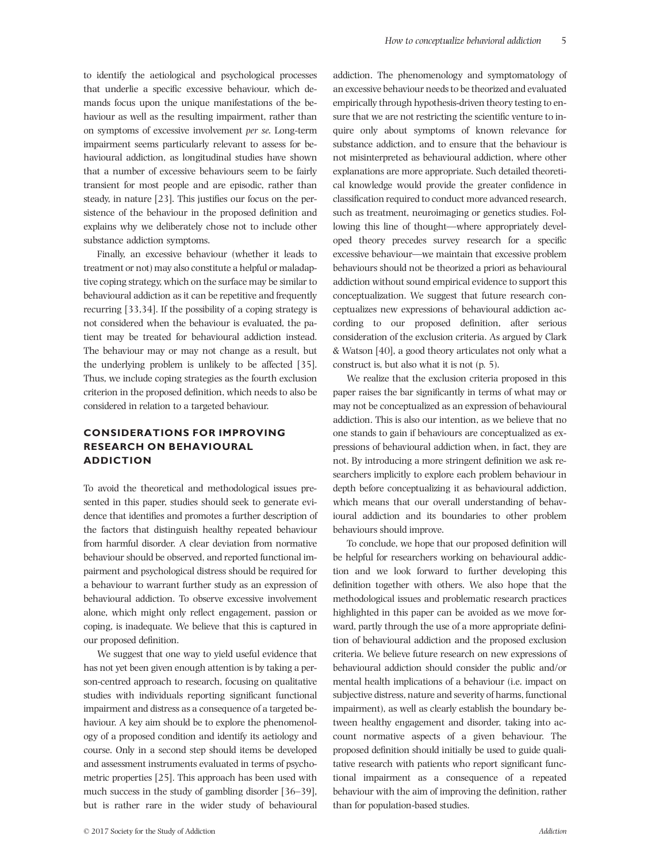to identify the aetiological and psychological processes that underlie a specific excessive behaviour, which demands focus upon the unique manifestations of the behaviour as well as the resulting impairment, rather than on symptoms of excessive involvement per se. Long-term impairment seems particularly relevant to assess for behavioural addiction, as longitudinal studies have shown that a number of excessive behaviours seem to be fairly transient for most people and are episodic, rather than steady, in nature [23]. This justifies our focus on the persistence of the behaviour in the proposed definition and explains why we deliberately chose not to include other substance addiction symptoms.

Finally, an excessive behaviour (whether it leads to treatment or not) may also constitute a helpful or maladaptive coping strategy, which on the surface may be similar to behavioural addiction as it can be repetitive and frequently recurring [33,34]. If the possibility of a coping strategy is not considered when the behaviour is evaluated, the patient may be treated for behavioural addiction instead. The behaviour may or may not change as a result, but the underlying problem is unlikely to be affected [35]. Thus, we include coping strategies as the fourth exclusion criterion in the proposed definition, which needs to also be considered in relation to a targeted behaviour.

# CONSIDERATIONS FOR IMPROVING RESEARCH ON BEHAVIOURAL ADDICTION

To avoid the theoretical and methodological issues presented in this paper, studies should seek to generate evidence that identifies and promotes a further description of the factors that distinguish healthy repeated behaviour from harmful disorder. A clear deviation from normative behaviour should be observed, and reported functional impairment and psychological distress should be required for a behaviour to warrant further study as an expression of behavioural addiction. To observe excessive involvement alone, which might only reflect engagement, passion or coping, is inadequate. We believe that this is captured in our proposed definition.

We suggest that one way to yield useful evidence that has not yet been given enough attention is by taking a person-centred approach to research, focusing on qualitative studies with individuals reporting significant functional impairment and distress as a consequence of a targeted behaviour. A key aim should be to explore the phenomenology of a proposed condition and identify its aetiology and course. Only in a second step should items be developed and assessment instruments evaluated in terms of psychometric properties [25]. This approach has been used with much success in the study of gambling disorder [36–39], but is rather rare in the wider study of behavioural

addiction. The phenomenology and symptomatology of an excessive behaviour needs to be theorized and evaluated empirically through hypothesis-driven theory testing to ensure that we are not restricting the scientific venture to inquire only about symptoms of known relevance for substance addiction, and to ensure that the behaviour is not misinterpreted as behavioural addiction, where other explanations are more appropriate. Such detailed theoretical knowledge would provide the greater confidence in classification required to conduct more advanced research, such as treatment, neuroimaging or genetics studies. Following this line of thought—where appropriately developed theory precedes survey research for a specific excessive behaviour—we maintain that excessive problem behaviours should not be theorized a priori as behavioural addiction without sound empirical evidence to support this conceptualization. We suggest that future research conceptualizes new expressions of behavioural addiction according to our proposed definition, after serious consideration of the exclusion criteria. As argued by Clark & Watson [40], a good theory articulates not only what a construct is, but also what it is not (p. 5).

We realize that the exclusion criteria proposed in this paper raises the bar significantly in terms of what may or may not be conceptualized as an expression of behavioural addiction. This is also our intention, as we believe that no one stands to gain if behaviours are conceptualized as expressions of behavioural addiction when, in fact, they are not. By introducing a more stringent definition we ask researchers implicitly to explore each problem behaviour in depth before conceptualizing it as behavioural addiction, which means that our overall understanding of behavioural addiction and its boundaries to other problem behaviours should improve.

To conclude, we hope that our proposed definition will be helpful for researchers working on behavioural addiction and we look forward to further developing this definition together with others. We also hope that the methodological issues and problematic research practices highlighted in this paper can be avoided as we move forward, partly through the use of a more appropriate definition of behavioural addiction and the proposed exclusion criteria. We believe future research on new expressions of behavioural addiction should consider the public and/or mental health implications of a behaviour (i.e. impact on subjective distress, nature and severity of harms, functional impairment), as well as clearly establish the boundary between healthy engagement and disorder, taking into account normative aspects of a given behaviour. The proposed definition should initially be used to guide qualitative research with patients who report significant functional impairment as a consequence of a repeated behaviour with the aim of improving the definition, rather than for population-based studies.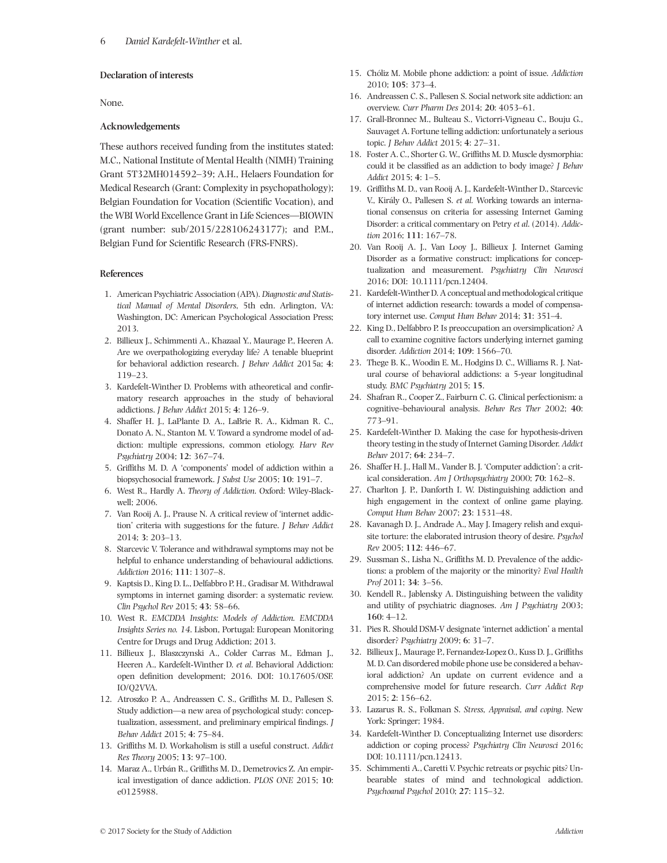#### Declaration of interests

None.

#### Acknowledgements

These authors received funding from the institutes stated: M.C., National Institute of Mental Health (NIMH) Training Grant 5T32MH014592–39; A.H., Helaers Foundation for Medical Research (Grant: Complexity in psychopathology); Belgian Foundation for Vocation (Scientific Vocation), and the WBI World Excellence Grant in Life Sciences—BIOWIN (grant number: sub/2015/228106243177); and P.M., Belgian Fund for Scientific Research (FRS-FNRS).

#### References

- 1. American Psychiatric Association (APA). Diagnostic and Statistical Manual of Mental Disorders, 5th edn. Arlington, VA: Washington, DC: American Psychological Association Press; 2013.
- 2. Billieux J., Schimmenti A., Khazaal Y., Maurage P., Heeren A. Are we overpathologizing everyday life? A tenable blueprint for behavioral addiction research. J Behav Addict 2015a; 4: 119–23.
- 3. Kardefelt-Winther D. Problems with atheoretical and confirmatory research approaches in the study of behavioral addictions. J Behav Addict 2015; 4: 126–9.
- 4. Shaffer H. J., LaPlante D. A., LaBrie R. A., Kidman R. C., Donato A. N., Stanton M. V. Toward a syndrome model of addiction: multiple expressions, common etiology. Harv Rev Psychiatry 2004; 12: 367–74.
- 5. Griffiths M. D. A 'components' model of addiction within a biopsychosocial framework. J Subst Use 2005; 10: 191–7.
- 6. West R., Hardly A. Theory of Addiction. Oxford: Wiley-Blackwell; 2006.
- 7. Van Rooij A. J., Prause N. A critical review of 'internet addiction' criteria with suggestions for the future. J Behav Addict 2014; 3: 203–13.
- 8. Starcevic V. Tolerance and withdrawal symptoms may not be helpful to enhance understanding of behavioural addictions. Addiction 2016; 111: 1307–8.
- 9. Kaptsis D., King D. L., Delfabbro P. H., Gradisar M. Withdrawal symptoms in internet gaming disorder: a systematic review. Clin Psychol Rev 2015; 43: 58–66.
- 10. West R. EMCDDA Insights: Models of Addiction. EMCDDA Insights Series no. 14. Lisbon, Portugal: European Monitoring Centre for Drugs and Drug Addiction; 2013.
- 11. Billieux J., Blaszczynski A., Colder Carras M., Edman J., Heeren A., Kardefelt-Winther D. et al. Behavioral Addiction: open definition development; 2016. DOI: 10.17605/OSF. IO/Q2VVA.
- 12. Atroszko P. A., Andreassen C. S., Griffiths M. D., Pallesen S. Study addiction—a new area of psychological study: conceptualization, assessment, and preliminary empirical findings. J Behav Addict 2015; 4: 75–84.
- 13. Griffiths M. D. Workaholism is still a useful construct. Addict Res Theory 2005; 13: 97–100.
- 14. Maraz A., Urbán R., Griffiths M. D., Demetrovics Z. An empirical investigation of dance addiction. PLOS ONE 2015; 10: e0125988.
- 15. Chóliz M. Mobile phone addiction: a point of issue. Addiction 2010; 105: 373–4.
- 16. Andreassen C. S., Pallesen S. Social network site addiction: an overview. Curr Pharm Des 2014; 20: 4053–61.
- 17. Grall-Bronnec M., Bulteau S., Victorri-Vigneau C., Bouju G., Sauvaget A. Fortune telling addiction: unfortunately a serious topic. J Behav Addict 2015; 4: 27–31.
- 18. Foster A. C., Shorter G. W., Griffiths M. D. Muscle dysmorphia: could it be classified as an addiction to body image? J Behav Addict 2015; 4: 1–5.
- 19. Griffiths M. D., van Rooij A. J., Kardefelt-Winther D., Starcevic V., Király O., Pallesen S. et al. Working towards an international consensus on criteria for assessing Internet Gaming Disorder: a critical commentary on Petry et al. (2014). Addiction 2016; 111: 167–78.
- 20. Van Rooij A. J., Van Looy J., Billieux J. Internet Gaming Disorder as a formative construct: implications for conceptualization and measurement. Psychiatry Clin Neurosci 2016; DOI: 10.1111/pcn.12404.
- 21. Kardefelt-Winther D. A conceptual and methodological critique of internet addiction research: towards a model of compensatory internet use. Comput Hum Behav 2014; 31: 351–4.
- 22. King D., Delfabbro P. Is preoccupation an oversimplication? A call to examine cognitive factors underlying internet gaming disorder. Addiction 2014; 109: 1566–70.
- 23. Thege B. K., Woodin E. M., Hodgins D. C., Williams R. J. Natural course of behavioral addictions: a 5-year longitudinal study. BMC Psychiatry 2015; 15.
- 24. Shafran R., Cooper Z., Fairburn C. G. Clinical perfectionism: a cognitive–behavioural analysis. Behav Res Ther 2002; 40: 773–91.
- 25. Kardefelt-Winther D. Making the case for hypothesis-driven theory testing in the study of Internet Gaming Disorder. Addict Behav 2017; 64: 234–7.
- 26. Shaffer H. J., Hall M., Vander B. J. 'Computer addiction': a critical consideration. Am J Orthopsychiatry 2000; 70: 162–8.
- 27. Charlton J. P., Danforth I. W. Distinguishing addiction and high engagement in the context of online game playing. Comput Hum Behav 2007; 23: 1531–48.
- 28. Kavanagh D. J., Andrade A., May J. Imagery relish and exquisite torture: the elaborated intrusion theory of desire. Psychol Rev 2005; 112: 446–67.
- 29. Sussman S., Lisha N., Griffiths M. D. Prevalence of the addictions: a problem of the majority or the minority? Eval Health Prof 2011; 34: 3–56.
- 30. Kendell R., Jablensky A. Distinguishing between the validity and utility of psychiatric diagnoses. Am J Psychiatry 2003; 160: 4–12.
- 31. Pies R. Should DSM-V designate 'internet addiction' a mental disorder? Psychiatry 2009; 6: 31–7.
- 32. Billieux J., Maurage P., Fernandez-Lopez O., Kuss D. J., Griffiths M. D. Can disordered mobile phone use be considered a behavioral addiction? An update on current evidence and a comprehensive model for future research. Curr Addict Rep 2015; 2: 156–62.
- 33. Lazarus R. S., Folkman S. Stress, Appraisal, and coping. New York: Springer; 1984.
- 34. Kardefelt-Winther D. Conceptualizing Internet use disorders: addiction or coping process? Psychiatry Clin Neurosci 2016; DOI: 10.1111/pcn.12413.
- 35. Schimmenti A., Caretti V. Psychic retreats or psychic pits? Unbearable states of mind and technological addiction. Psychoanal Psychol 2010; 27: 115–32.